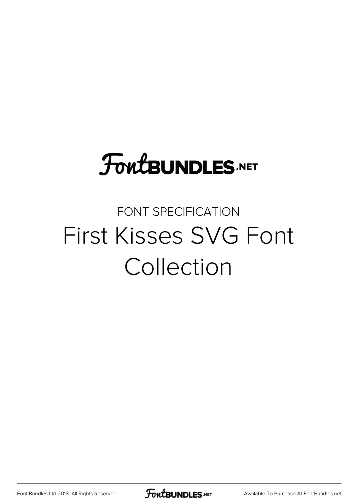# **FoutBUNDLES.NET**

### FONT SPECIFICATION First Kisses SVG Font Collection

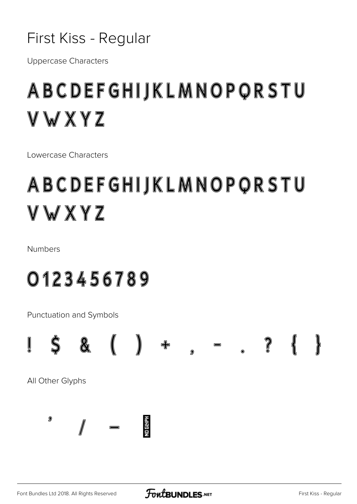

**Uppercase Characters** 

## ABCDEFGHIJKLMNOPQRSTU VWXYZ

I owercase Characters

## ABCDEFGHIJKLMNOPQRSTU VWXYZ

**Numbers** 

0123456789

Punctuation and Symbols

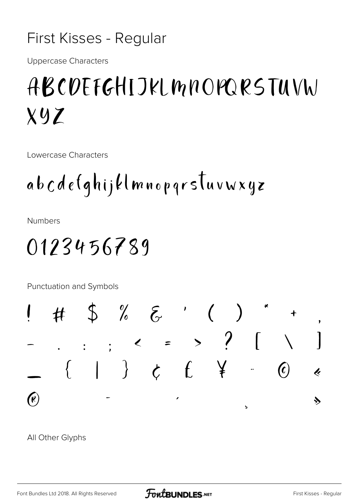#### First Kisses - Regular

**Uppercase Characters** 

## ABCOEFGHIJKLMNOPORSTUVW  $Xyz$

Lowercase Characters

**Numbers** 

### 0123456789

Punctuation and Symbols



All Other Glyphs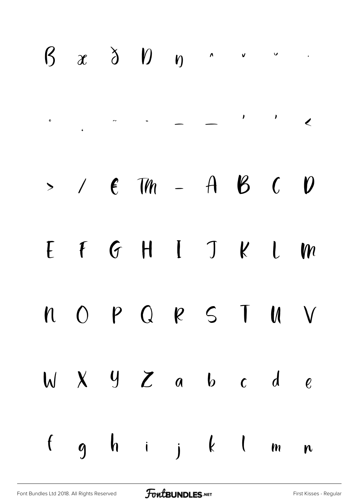## $\beta$   $x$   $\delta$   $\beta$   $n$   $\cdot$   $\cdot$   $\cdot$  $\sim$   $\sim$   $\sim$   $\sim$   $\sim$  $\mathbf{o}$  $>$  /  $\epsilon$  Th - A B C  $\boldsymbol{\theta}$ FGHIJKLM  $\Gamma$ OPQRSTUV  $\mathbf n$  $W X Y Z a b c d$  $\mathcal{C}$ ghijklm  $\mathbf{f}$  $\mathbf{r}$